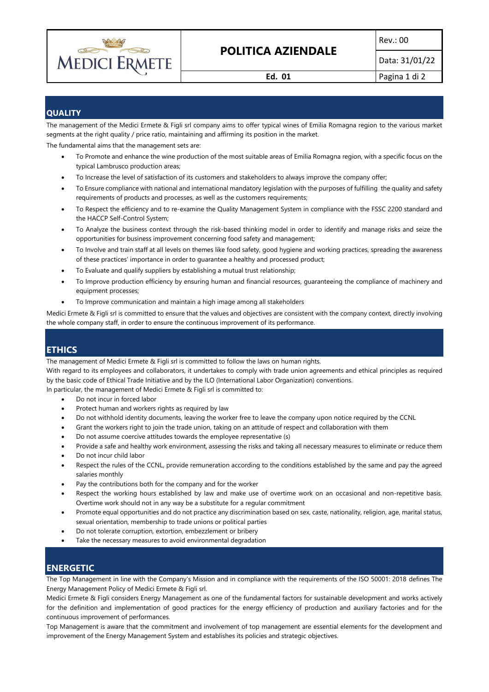

# **POLITICA AZIENDALE**

Data: 31/01/22

**Ed. 01** Pagina 1 di 2

## **QUALITY**

The management of the Medici Ermete & Figli srl company aims to offer typical wines of Emilia Romagna region to the various market segments at the right quality / price ratio, maintaining and affirming its position in the market.

The fundamental aims that the management sets are:

- To Promote and enhance the wine production of the most suitable areas of Emilia Romagna region, with a specific focus on the typical Lambrusco production areas;
- To Increase the level of satisfaction of its customers and stakeholders to always improve the company offer;
- To Ensure compliance with national and international mandatory legislation with the purposes of fulfilling the quality and safety requirements of products and processes, as well as the customers requirements;
- To Respect the efficiency and to re-examine the Quality Management System in compliance with the FSSC 2200 standard and the HACCP Self-Control System;
- To Analyze the business context through the risk-based thinking model in order to identify and manage risks and seize the opportunities for business improvement concerning food safety and management;
- To Involve and train staff at all levels on themes like food safety, good hygiene and working practices, spreading the awareness of these practices' importance in order to guarantee a healthy and processed product;
- To Evaluate and qualify suppliers by establishing a mutual trust relationship;
- To Improve production efficiency by ensuring human and financial resources, guaranteeing the compliance of machinery and equipment processes;
- To Improve communication and maintain a high image among all stakeholders

Medici Ermete & Figli srl is committed to ensure that the values and objectives are consistent with the company context, directly involving the whole company staff, in order to ensure the continuous improvement of its performance.

### **ETHICS**

The management of Medici Ermete & Figli srl is committed to follow the laws on human rights.

With regard to its employees and collaborators, it undertakes to comply with trade union agreements and ethical principles as required by the basic code of Ethical Trade Initiative and by the ILO (International Labor Organization) conventions.

In particular, the management of Medici Ermete & Figli srl is committed to:

- Do not incur in forced labor
- Protect human and workers rights as required by law
- Do not withhold identity documents, leaving the worker free to leave the company upon notice required by the CCNL
- Grant the workers right to join the trade union, taking on an attitude of respect and collaboration with them
- Do not assume coercive attitudes towards the employee representative (s)
- Provide a safe and healthy work environment, assessing the risks and taking all necessary measures to eliminate or reduce them
- Do not incur child labor
- Respect the rules of the CCNL, provide remuneration according to the conditions established by the same and pay the agreed salaries monthly
- Pay the contributions both for the company and for the worker
- Respect the working hours established by law and make use of overtime work on an occasional and non-repetitive basis. Overtime work should not in any way be a substitute for a regular commitment
- Promote equal opportunities and do not practice any discrimination based on sex, caste, nationality, religion, age, marital status, sexual orientation, membership to trade unions or political parties
- Do not tolerate corruption, extortion, embezzlement or bribery
- Take the necessary measures to avoid environmental degradation

#### **ENERGETIC**

The Top Management in line with the Company's Mission and in compliance with the requirements of the ISO 50001: 2018 defines The Energy Management Policy of Medici Ermete & Figli srl.

Medici Ermete & Figli considers Energy Management as one of the fundamental factors for sustainable development and works actively for the definition and implementation of good practices for the energy efficiency of production and auxiliary factories and for the continuous improvement of performances.

Top Management is aware that the commitment and involvement of top management are essential elements for the development and improvement of the Energy Management System and establishes its policies and strategic objectives.